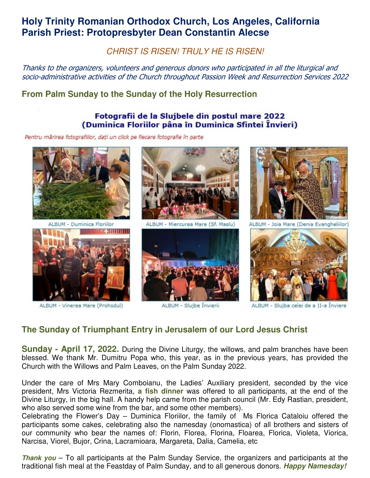# **Holy Trinity Romanian Orthodox Church, Los Angeles, California Parish Priest: Protopresbyter Dean Constantin Alecse**

CHRIST IS RISEN! TRULY HE IS RISEN!

Thanks to the organizers, volunteers and generous donors who participated in all the liturgical and socio-administrative activities of the Church throughout Passion Week and Resurrection Services 2022

## **From Palm Sunday to the Sunday of the Holy Resurrection**

#### Fotografii de la Slujbele din postul mare 2022 (Duminica Floriilor pâna în Duminica Sfintei Învieri)

Pentru mărirea fotografiilor, dați un click pe fiecare fotografie în parte



ALBUM - Duminica Floriilor



ALBUM - Vinerea Mare (Prohodul)



ALBUM - Miercurea Mare (Sf. Maslu)



ALBUM - Slujbe Învierii



ALBUM - Joia Mare (Denia Evangheliilor)



ALBUM - Slujba celei de a II-a Înviere

### **The Sunday of Triumphant Entry in Jerusalem of our Lord Jesus Christ**

**Sunday - April 17, 2022.** During the Divine Liturgy, the willows, and palm branches have been blessed. We thank Mr. Dumitru Popa who, this year, as in the previous years, has provided the Church with the Willows and Palm Leaves, on the Palm Sunday 2022.

Under the care of Mrs Mary Comboianu, the Ladies' Auxiliary president, seconded by the vice president, Mrs Victoria Rezmerita, **a fish dinner** was offered to all participants, at the end of the Divine Liturgy, in the big hall. A handy help came from the parish council (Mr. Edy Rastian, president, who also served some wine from the bar, and some other members).

Celebrating the Flower's Day – Duminica Floriilor, the family of Ms Florica Cataloiu offered the participants some cakes, celebrating also the namesday (onomastica) of all brothers and sisters of our community who bear the names of: Florin, Florea, Florina, Floarea, Florica, Violeta, Viorica, Narcisa, Viorel, Bujor, Crina, Lacramioara, Margareta, Dalia, Camelia, etc

**Thank you** – To all participants at the Palm Sunday Service, the organizers and participants at the traditional fish meal at the Feastday of Palm Sunday, and to all generous donors. **Happy Namesday!**